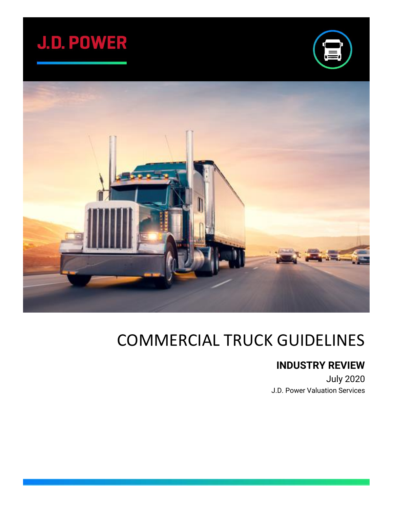





# COMMERCIAL TRUCK GUIDELINES

### **INDUSTRY REVIEW**

July 2020 J.D. Power Valuation Services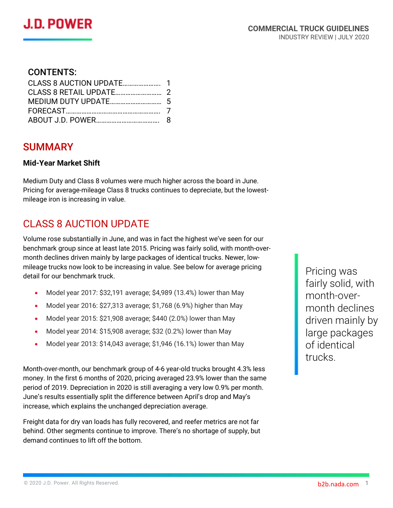### CONTENTS:

### SUMMARY

#### **Mid-Year Market Shift**

Medium Duty and Class 8 volumes were much higher across the board in June. Pricing for average-mileage Class 8 trucks continues to depreciate, but the lowestmileage iron is increasing in value.

### CLASS 8 AUCTION UPDATE

Volume rose substantially in June, and was in fact the highest we've seen for our benchmark group since at least late 2015. Pricing was fairly solid, with month-overmonth declines driven mainly by large packages of identical trucks. Newer, lowmileage trucks now look to be increasing in value. See below for average pricing detail for our benchmark truck.

- Model year 2017: \$32,191 average; \$4,989 (13.4%) lower than May
- Model year 2016: \$27,313 average; \$1,768 (6.9%) higher than May
- Model year 2015: \$21,908 average; \$440 (2.0%) lower than May
- Model year 2014: \$15,908 average; \$32 (0.2%) lower than May
- Model year 2013: \$14,043 average; \$1,946 (16.1%) lower than May

Month-over-month, our benchmark group of 4-6 year-old trucks brought 4.3% less money. In the first 6 months of 2020, pricing averaged 23.9% lower than the same period of 2019. Depreciation in 2020 is still averaging a very low 0.9% per month. June's results essentially split the difference between April's drop and May's increase, which explains the unchanged depreciation average.

Freight data for dry van loads has fully recovered, and reefer metrics are not far behind. Other segments continue to improve. There's no shortage of supply, but demand continues to lift off the bottom.

Pricing was fairly solid, with month-overmonth declines driven mainly by large packages of identical trucks.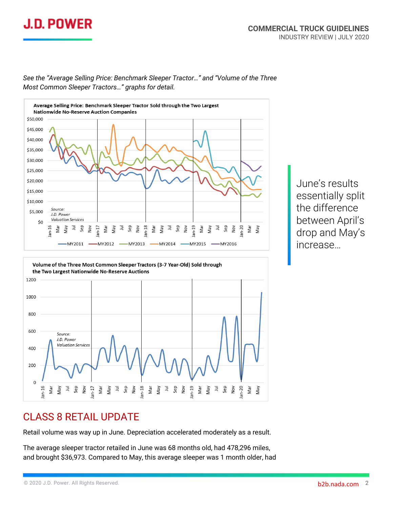



*See the "Average Selling Price: Benchmark Sleeper Tractor…" and "Volume of the Three Most Common Sleeper Tractors…" graphs for detail.*

> June's results essentially split the difference between April's drop and May's increase…



### CLASS 8 RETAIL UPDATE

Retail volume was way up in June. Depreciation accelerated moderately as a result.

The average sleeper tractor retailed in June was 68 months old, had 478,296 miles, and brought \$36,973. Compared to May, this average sleeper was 1 month older, had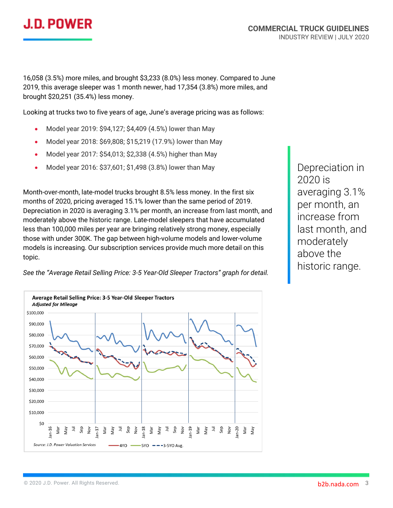## **J.D. POWER**

16,058 (3.5%) more miles, and brought \$3,233 (8.0%) less money. Compared to June 2019, this average sleeper was 1 month newer, had 17,354 (3.8%) more miles, and brought \$20,251 (35.4%) less money.

Looking at trucks two to five years of age, June's average pricing was as follows:

- Model year 2019: \$94,127; \$4,409 (4.5%) lower than May
- Model year 2018: \$69,808; \$15,219 (17.9%) lower than May
- Model year 2017: \$54,013; \$2,338 (4.5%) higher than May
- Model year 2016: \$37,601; \$1,498 (3.8%) lower than May

Month-over-month, late-model trucks brought 8.5% less money. In the first six months of 2020, pricing averaged 15.1% lower than the same period of 2019. Depreciation in 2020 is averaging 3.1% per month, an increase from last month, and moderately above the historic range. Late-model sleepers that have accumulated less than 100,000 miles per year are bringing relatively strong money, especially those with under 300K. The gap between high-volume models and lower-volume models is increasing. Our subscription services provide much more detail on this topic.

Depreciation in 2020 is averaging 3.1% per month, an increase from last month, and moderately above the historic range.



*See the "Average Retail Selling Price: 3-5 Year-Old Sleeper Tractors" graph for detail.*

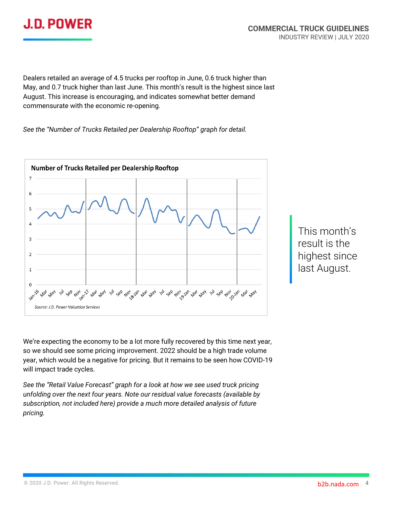

Dealers retailed an average of 4.5 trucks per rooftop in June, 0.6 truck higher than May, and 0.7 truck higher than last June. This month's result is the highest since last August. This increase is encouraging, and indicates somewhat better demand commensurate with the economic re-opening.

*See the "Number of Trucks Retailed per Dealership Rooftop" graph for detail.*



This month's result is the highest since last August.

We're expecting the economy to be a lot more fully recovered by this time next year, so we should see some pricing improvement. 2022 should be a high trade volume year, which would be a negative for pricing. But it remains to be seen how COVID-19 will impact trade cycles.

*See the "Retail Value Forecast" graph for a look at how we see used truck pricing unfolding over the next four years. Note our residual value forecasts (available by subscription, not included here) provide a much more detailed analysis of future pricing.*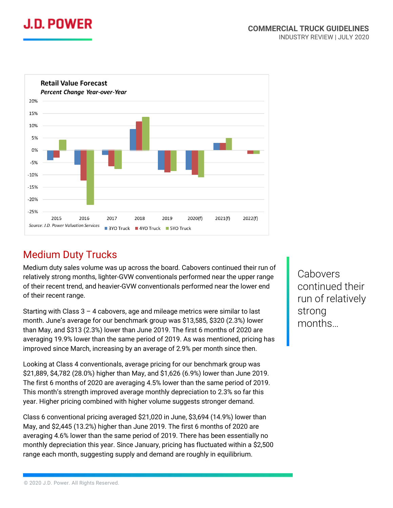



### Medium Duty Trucks

Medium duty sales volume was up across the board. Cabovers continued their run of relatively strong months, lighter-GVW conventionals performed near the upper range of their recent trend, and heavier-GVW conventionals performed near the lower end of their recent range.

Starting with Class  $3 - 4$  cabovers, age and mileage metrics were similar to last month. June's average for our benchmark group was \$13,585, \$320 (2.3%) lower than May, and \$313 (2.3%) lower than June 2019. The first 6 months of 2020 are averaging 19.9% lower than the same period of 2019. As was mentioned, pricing has improved since March, increasing by an average of 2.9% per month since then.

Looking at Class 4 conventionals, average pricing for our benchmark group was \$21,889, \$4,782 (28.0%) higher than May, and \$1,626 (6.9%) lower than June 2019. The first 6 months of 2020 are averaging 4.5% lower than the same period of 2019. This month's strength improved average monthly depreciation to 2.3% so far this year. Higher pricing combined with higher volume suggests stronger demand.

Class 6 conventional pricing averaged \$21,020 in June, \$3,694 (14.9%) lower than May, and \$2,445 (13.2%) higher than June 2019. The first 6 months of 2020 are averaging 4.6% lower than the same period of 2019. There has been essentially no monthly depreciation this year. Since January, pricing has fluctuated within a \$2,500 range each month, suggesting supply and demand are roughly in equilibrium.

Cabovers continued their run of relatively strong months…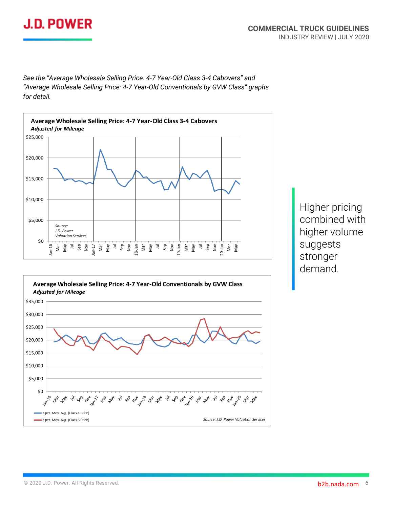## **J.D. POWER**

*See the "Average Wholesale Selling Price: 4-7 Year-Old Class 3-4 Cabovers" and "Average Wholesale Selling Price: 4-7 Year-Old Conventionals by GVW Class" graphs for detail.*



Higher pricing combined with higher volume suggests stronger demand.

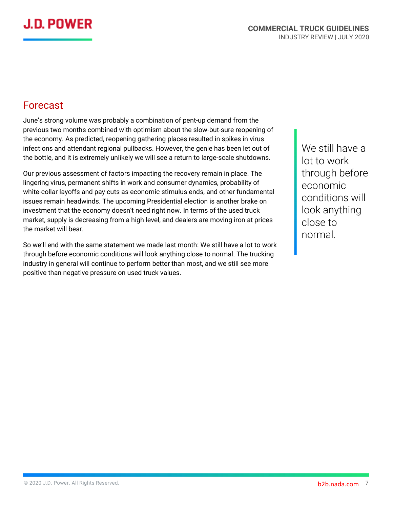## J.D. POWER

### Forecast

June's strong volume was probably a combination of pent-up demand from the previous two months combined with optimism about the slow-but-sure reopening of the economy. As predicted, reopening gathering places resulted in spikes in virus infections and attendant regional pullbacks. However, the genie has been let out of the bottle, and it is extremely unlikely we will see a return to large-scale shutdowns.

Our previous assessment of factors impacting the recovery remain in place. The lingering virus, permanent shifts in work and consumer dynamics, probability of white-collar layoffs and pay cuts as economic stimulus ends, and other fundamental issues remain headwinds. The upcoming Presidential election is another brake on investment that the economy doesn't need right now. In terms of the used truck market, supply is decreasing from a high level, and dealers are moving iron at prices the market will bear.

So we'll end with the same statement we made last month: We still have a lot to work through before economic conditions will look anything close to normal. The trucking industry in general will continue to perform better than most, and we still see more positive than negative pressure on used truck values.

We still have a lot to work through before economic conditions will look anything close to normal.